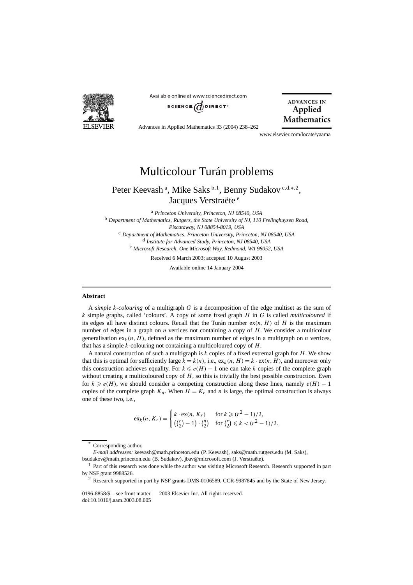

Available online at www.sciencedirect.com SCIENCE  $\overrightarrow{a}$  DIRECT<sup>®</sup>



Advances in Applied Mathematics 33 (2004) 238–262

www.elsevier.com/locate/yaama

# Multicolour Turán problems

## Peter Keevash<sup>a</sup>, Mike Saks<sup>b,1</sup>, Benny Sudakov<sup>c,d,\*,2</sup>, Jacques Verstraëte<sup>e</sup>

<sup>a</sup> *Princeton University, Princeton, NJ 08540, USA* <sup>b</sup> *Department of Mathematics, Rutgers, the State University of NJ, 110 Frelinghuysen Road, Piscataway, NJ 08854-8019, USA* <sup>c</sup> *Department of Mathematics, Princeton University, Princeton, NJ 08540, USA* <sup>d</sup> *Institute for Advanced Study, Princeton, NJ 08540, USA* <sup>e</sup> *Microsoft Research, One Microsoft Way, Redmond, WA 98052, USA* Received 6 March 2003; accepted 10 August 2003

Available online 14 January 2004

### **Abstract**

A *simple k-colouring* of a multigraph *G* is a decomposition of the edge multiset as the sum of *k* simple graphs, called 'colours'. A copy of some fixed graph *H* in *G* is called *multicoloured* if its edges all have distinct colours. Recall that the Turán number  $ex(n, H)$  of  $H$  is the maximum number of edges in a graph on *n* vertices not containing a copy of *H*. We consider a multicolour generalisation  $ex_k(n, H)$ , defined as the maximum number of edges in a multigraph on *n* vertices, that has a simple *k*-colouring not containing a multicoloured copy of *H*.

A natural construction of such a multigraph is *k* copies of a fixed extremal graph for *H*. We show that this is optimal for sufficiently large  $k = k(n)$ , i.e.,  $ex_k(n, H) = k \cdot ex(n, H)$ , and moreover only this construction achieves equality. For  $k \le e(H) - 1$  one can take *k* copies of the complete graph without creating a multicoloured copy of *H*, so this is trivially the best possible construction. Even for  $k \ge e(H)$ , we should consider a competing construction along these lines, namely  $e(H) - 1$ copies of the complete graph  $K_n$ . When  $H = K_r$  and *n* is large, the optimal construction is always one of these two, i.e.,

$$
\mathrm{ex}_k(n, K_r) = \begin{cases} k \cdot \mathrm{ex}(n, K_r) & \text{for } k \geqslant (r^2 - 1)/2, \\ \binom{r}{2} - 1 \cdot \binom{n}{2} & \text{for } \binom{r}{2} \leqslant k < (r^2 - 1)/2. \end{cases}
$$

Corresponding author.

*E-mail addresses:* keevash@math.princeton.edu (P. Keevash), saks@math.rutgers.edu (M. Saks), bsudakov@math.princeton.edu (B. Sudakov), jbav@microsoft.com (J. Verstraëte).

<sup>&</sup>lt;sup>1</sup> Part of this research was done while the author was visiting Microsoft Research. Research supported in part by NSF grant 9988526.

<sup>2</sup> Research supported in part by NSF grants DMS-0106589, CCR-9987845 and by the State of New Jersey.

<sup>0196-8858/\$ –</sup> see front matter  $\degree$  2003 Elsevier Inc. All rights reserved. doi:10.1016/j.aam.2003.08.005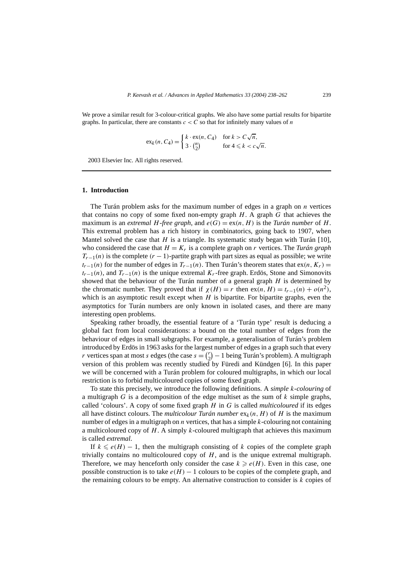We prove a similar result for 3-colour-critical graphs. We also have some partial results for bipartite graphs. In particular, there are constants  $c < C$  so that for infinitely many values of *n* 

$$
\mathrm{ex}_k(n, C_4) = \begin{cases} k \cdot \mathrm{ex}(n, C_4) & \text{for } k > C\sqrt{n}, \\ 3 \cdot \binom{n}{2} & \text{for } 4 \leq k < c\sqrt{n}. \end{cases}
$$

2003 Elsevier Inc. All rights reserved.

## **1. Introduction**

The Turán problem asks for the maximum number of edges in a graph on *n* vertices that contains no copy of some fixed non-empty graph *H*. A graph *G* that achieves the maximum is an *extremal H-free graph*, and  $e(G) = ex(n, H)$  is the *Turán number* of *H*. This extremal problem has a rich history in combinatorics, going back to 1907, when Mantel solved the case that  $H$  is a triangle. Its systematic study began with Turán [10], who considered the case that  $H = K_r$  is a complete graph on *r* vertices. The *Turán graph*  $T_{r-1}(n)$  is the complete  $(r-1)$ -partite graph with part sizes as equal as possible; we write  $t_{r-1}(n)$  for the number of edges in  $T_{r-1}(n)$ . Then Turán's theorem states that ex $(n, K_r)$  =  $t_{r-1}(n)$ , and  $T_{r-1}(n)$  is the unique extremal  $K_r$ -free graph. Erdös, Stone and Simonovits showed that the behaviour of the Turán number of a general graph *H* is determined by the chromatic number. They proved that if  $\chi(H) = r$  then  $ex(n, H) = t_{r-1}(n) + o(n^2)$ , which is an asymptotic result except when *H* is bipartite. For bipartite graphs, even the asymptotics for Turán numbers are only known in isolated cases, and there are many interesting open problems.

Speaking rather broadly, the essential feature of a 'Turán type' result is deducing a global fact from local considerations: a bound on the total number of edges from the behaviour of edges in small subgraphs. For example, a generalisation of Turán's problem introduced by Erdös in 1963 asks for the largest number of edges in a graph such that every *r* vertices span at most *s* edges (the case  $s = {r \choose 2} - 1$  being Turán's problem). A multigraph version of this problem was recently studied by Füredi and Kündgen [6]. In this paper we will be concerned with a Turán problem for coloured multigraphs, in which our local restriction is to forbid multicoloured copies of some fixed graph.

To state this precisely, we introduce the following definitions. A *simple k-colouring* of a multigraph *G* is a decomposition of the edge multiset as the sum of *k* simple graphs, called 'colours'. A copy of some fixed graph *H* in *G* is called *multicoloured* if its edges all have distinct colours. The *multicolour Turán number*  $ex_k(n, H)$  of *H* is the maximum number of edges in a multigraph on *n* vertices, that has a simple *k*-colouring not containing a multicoloured copy of *H*. A simply *k*-coloured multigraph that achieves this maximum is called *extremal*.

If  $k \le e(H) - 1$ , then the multigraph consisting of k copies of the complete graph trivially contains no multicoloured copy of *H*, and is the unique extremal multigraph. Therefore, we may henceforth only consider the case  $k \geq e(H)$ . Even in this case, one possible construction is to take  $e(H) - 1$  colours to be copies of the complete graph, and the remaining colours to be empty. An alternative construction to consider is *k* copies of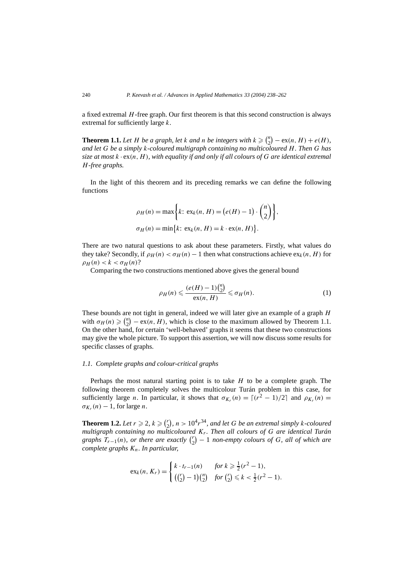a fixed extremal *H*-free graph. Our first theorem is that this second construction is always extremal for sufficiently large *k*.

**Theorem 1.1.** Let *H* be a graph, let *k* and *n* be integers with  $k \geq {n \choose 2} - \text{ex}(n, H) + e(H)$ , *and let G be a simply k-coloured multigraph containing no multicoloured H. Then G has size at most k* · ex*(n, H ), with equality if and only if all colours of G are identical extremal H-free graphs.*

In the light of this theorem and its preceding remarks we can define the following functions

$$
\rho_H(n) = \max\left\{k: \, \text{ex}_k(n, H) = \left(e(H) - 1\right) \cdot \binom{n}{2},\,
$$
\n
$$
\sigma_H(n) = \min\left\{k: \, \text{ex}_k(n, H) = k \cdot \text{ex}(n, H)\right\}.
$$

There are two natural questions to ask about these parameters. Firstly, what values do they take? Secondly, if  $\rho_H(n) < \sigma_H(n) - 1$  then what constructions achieve  $\exp(n, H)$  for  $\rho_H(n) < k < \sigma_H(n)$ ?

Comparing the two constructions mentioned above gives the general bound

$$
\rho_H(n) \leqslant \frac{(e(H) - 1)\binom{n}{2}}{\operatorname{ex}(n, H)} \leqslant \sigma_H(n). \tag{1}
$$

These bounds are not tight in general, indeed we will later give an example of a graph *H* with  $\sigma_H(n) \geqslant \binom{n}{2}$  $\binom{n}{2} - \text{ex}(n, H)$ , which is close to the maximum allowed by Theorem 1.1. On the other hand, for certain 'well-behaved' graphs it seems that these two constructions may give the whole picture. To support this assertion, we will now discuss some results for specific classes of graphs.

## *1.1. Complete graphs and colour-critical graphs*

Perhaps the most natural starting point is to take *H* to be a complete graph. The following theorem completely solves the multicolour Turán problem in this case, for sufficiently large *n*. In particular, it shows that  $\sigma_{K_r}(n) = \lfloor (r^2 - 1)/2 \rfloor$  and  $\rho_{K_r}(n) =$  $\sigma_{K_r}(n) - 1$ , for large *n*.

**Theorem 1.2.** Let  $r \ge 2$ ,  $k \ge \binom{r}{2}$ ,  $n > 10^4 r^{34}$ , and let G be an extremal simply *k*-coloured *multigraph containing no multicoloured Kr. Then all colours of G are identical Turán*  $graphs$   $T_{r-1}(n)$ *, or there are exactly*  $\binom{r}{2} - 1$  *non-empty colours of G, all of which are complete graphs Kn. In particular,*

$$
\mathrm{ex}_k(n, K_r) = \begin{cases} k \cdot t_{r-1}(n) & \text{for } k \geq \frac{1}{2}(r^2 - 1), \\ \left( {r \choose 2} - 1 \right) {n \choose 2} & \text{for } {r \choose 2} \leq k < \frac{1}{2}(r^2 - 1). \end{cases}
$$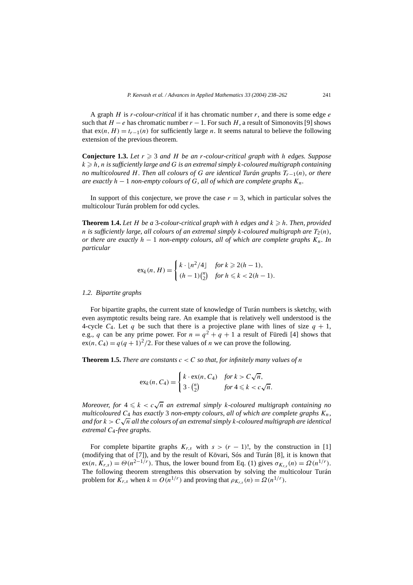A graph *H* is *r-colour-critical* if it has chromatic number *r*, and there is some edge *e* such that  $H - e$  has chromatic number  $r - 1$ . For such *H*, a result of Simonovits [9] shows that  $ex(n, H) = t_{r-1}(n)$  for sufficiently large *n*. It seems natural to believe the following extension of the previous theorem.

**Conjecture 1.3.** Let  $r \geq 3$  and  $H$  be an  $r$ -colour-critical graph with  $h$  edges. Suppose  $k\geqslant h,$   $n$  is sufficiently large and  $G$  is an extremal simply  $k$ -coloured multigraph containing *no multicoloured H. Then all colours of G are identical Turán graphs Tr*<sup>−</sup>1*(n), or there are exactly*  $h - 1$  *non-empty colours of*  $G$ *, all of which are complete graphs*  $K_n$ *.* 

In support of this conjecture, we prove the case  $r = 3$ , which in particular solves the multicolour Turán problem for odd cycles.

**Theorem 1.4.** *Let H be a* 3*-colour-critical graph with h edges and k* - *h. Then, provided n* is sufficiently large, all colours of an extremal simply k-coloured multigraph are  $T_2(n)$ , *or there are exactly h* − 1 *non-empty colours, all of which are complete graphs Kn. In particular*

$$
ex_k(n, H) = \begin{cases} k \cdot \lfloor n^2/4 \rfloor & \text{for } k \geq 2(h-1), \\ (h-1)\binom{n}{2} & \text{for } h \leq k < 2(h-1). \end{cases}
$$

## *1.2. Bipartite graphs*

For bipartite graphs, the current state of knowledge of Turán numbers is sketchy, with even asymptotic results being rare. An example that is relatively well understood is the 4-cycle  $C_4$ . Let  $q$  be such that there is a projective plane with lines of size  $q + 1$ , e.g., *q* can be any prime power. For  $n = q^2 + q + 1$  a result of Füredi [4] shows that  $ex(n, C_4) = q(q + 1)^2/2$ . For these values of *n* we can prove the following.

**Theorem 1.5.** *There are constants*  $c < C$  *so that, for infinitely many values of n* 

$$
\mathrm{ex}_k(n, C_4) = \begin{cases} k \cdot \mathrm{ex}(n, C_4) & \text{for } k > C\sqrt{n}, \\ 3 \cdot {n \choose 2} & \text{for } 4 \leq k < c\sqrt{n}. \end{cases}
$$

*Moreover, for*  $4 \le k < c\sqrt{n}$  *an extremal simply k-coloured multigraph containing no multicoloured C*<sup>4</sup> *has exactly* 3 *non-empty colours, all of which are complete graphs Kn, and for*  $k > C\sqrt{n}$  *all the colours of an extremal simply k*-*coloured multigraph are identical extremal C*4*-free graphs.*

For complete bipartite graphs  $K_{r,s}$  with  $s > (r - 1)!$ , by the construction in [1] (modifying that of [7]), and by the result of Kövari, Sós and Turán [8], it is known that  $\mathsf{ex}(n, K_{r,s}) = \Theta(n^{2-1/r})$ . Thus, the lower bound from Eq. (1) gives  $\sigma_{K_{r,s}}(n) = \Omega(n^{1/r})$ . The following theorem strengthens this observation by solving the multicolour Turán problem for  $K_{r,s}$  when  $k = O(n^{1/r})$  and proving that  $\rho_{K_{r,s}}(n) = \Omega(n^{1/r})$ .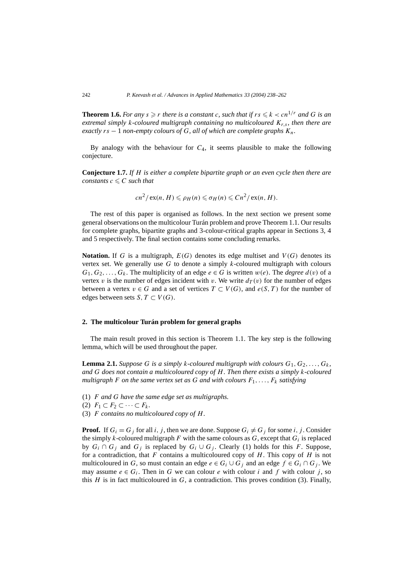**Theorem 1.6.** For any  $s \ge r$  there is a constant c, such that if  $rs \le k < cn^{1/r}$  and G is an *extremal simply k-coloured multigraph containing no multicoloured Kr,s, then there are exactly*  $rs - 1$  *non-empty colours of*  $G$ *, all of which are complete graphs*  $K_n$ *.* 

By analogy with the behaviour for *C*4, it seems plausible to make the following conjecture.

**Conjecture 1.7.** *If H is either a complete bipartite graph or an even cycle then there are constants*  $c \leq C$  *such that* 

$$
cn^2/\operatorname{ex}(n, H) \leq \rho_H(n) \leq \sigma_H(n) \leq Cn^2/\operatorname{ex}(n, H).
$$

The rest of this paper is organised as follows. In the next section we present some general observations on the multicolour Turán problem and prove Theorem 1.1. Our results for complete graphs, bipartite graphs and 3-colour-critical graphs appear in Sections 3, 4 and 5 respectively. The final section contains some concluding remarks.

**Notation.** If *G* is a multigraph,  $E(G)$  denotes its edge multiset and  $V(G)$  denotes its vertex set. We generally use *G* to denote a simply *k*-coloured multigraph with colours  $G_1, G_2, \ldots, G_k$ . The multiplicity of an edge  $e \in G$  is written  $w(e)$ . The *degree*  $d(v)$  of a vertex *v* is the number of edges incident with *v*. We write  $d_T(v)$  for the number of edges between a vertex  $v \in G$  and a set of vertices  $T \subset V(G)$ , and  $e(S, T)$  for the number of edges between sets *S*,  $T \subset V(G)$ .

## **2. The multicolour Turán problem for general graphs**

The main result proved in this section is Theorem 1.1. The key step is the following lemma, which will be used throughout the paper.

**Lemma 2.1.** *Suppose G is a simply k-coloured multigraph with colours*  $G_1, G_2, \ldots, G_k$ *and G does not contain a multicoloured copy of H. Then there exists a simply k-coloured multigraph F on the same vertex set as G and with colours*  $F_1, \ldots, F_k$  *satisfying* 

- (1) *F and G have the same edge set as multigraphs.*
- (2)  $F_1$  ⊂  $F_2$  ⊂  $\cdots$  ⊂  $F_k$ .
- (3) *F contains no multicoloured copy of H.*

**Proof.** If  $G_i = G_j$  for all *i, j*, then we are done. Suppose  $G_i \neq G_j$  for some *i, j*. Consider the simply *k*-coloured multigraph *F* with the same colours as  $G$ , except that  $G_i$  is replaced by  $G_i \cap G_j$  and  $G_j$  is replaced by  $G_i \cup G_j$ . Clearly (1) holds for this *F*. Suppose, for a contradiction, that *F* contains a multicoloured copy of *H*. This copy of *H* is not multicoloured in *G*, so must contain an edge  $e \in G_i \cup G_j$  and an edge  $f \in G_i \cap G_j$ . We may assume  $e \in G_i$ . Then in G we can colour *e* with colour *i* and f with colour *j*, so this  $H$  is in fact multicoloured in  $G$ , a contradiction. This proves condition (3). Finally,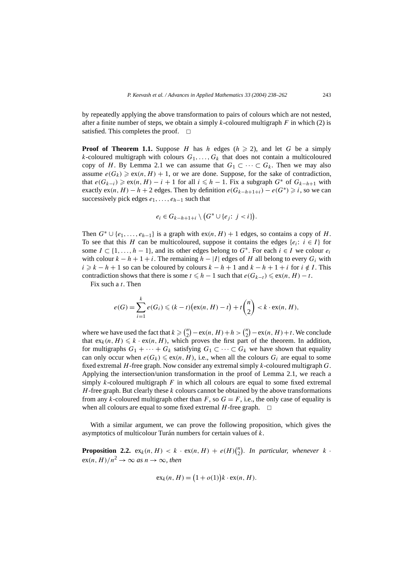by repeatedly applying the above transformation to pairs of colours which are not nested, after a finite number of steps, we obtain a simply  $k$ -coloured multigraph  $F$  in which (2) is satisfied. This completes the proof.  $\square$ 

**Proof of Theorem 1.1.** Suppose *H* has *h* edges  $(h \ge 2)$ , and let *G* be a simply *k*-coloured multigraph with colours  $G_1, \ldots, G_k$  that does not contain a multicoloured copy of *H*. By Lemma 2.1 we can assume that  $G_1 \subset \cdots \subset G_k$ . Then we may also assume  $e(G_k) \geqslant ex(n, H) + 1$ , or we are done. Suppose, for the sake of contradiction, that  $e(G_{k-i}) \geqslant \exp(n, H) - i + 1$  for all  $i \leqslant h - 1$ . Fix a subgraph  $G^*$  of  $G_{k-h+1}$  with exactly  $ex(n, H) - h + 2$  edges. Then by definition  $e(G_{k-h+1+i}) - e(G^*) \geq i$ , so we can successively pick edges *e*1*,...,eh*<sup>−</sup><sup>1</sup> such that

$$
e_i \in G_{k-h+1+i} \setminus (G^* \cup \{e_j : j < i\}).
$$

Then  $G^* \cup \{e_1, \ldots, e_{h-1}\}$  is a graph with  $ex(n, H) + 1$  edges, so contains a copy of *H*. To see that this *H* can be multicoloured, suppose it contains the edges  $\{e_i: i \in I\}$  for some  $I \subset \{1, \ldots, h-1\}$ , and its other edges belong to  $G^*$ . For each  $i \in I$  we colour  $e_i$ with colour  $k - h + 1 + i$ . The remaining  $h - |I|$  edges of *H* all belong to every  $G_i$  with *i*  $\geq$  *k* − *h* + 1 so can be coloured by colours *k* − *h* + 1 and *k* − *h* + 1 + *i* for *i*  $\notin$  *I*. This contradiction shows that there is some  $t \leq h - 1$  such that  $e(G_{k-t}) \leq \text{ex}(n, H) - t$ .

Fix such a *t*. Then

$$
e(G) = \sum_{i=1}^{k} e(G_i) \leq (k-t) \big( \exp(n, H) - t \big) + t {n \choose 2} < k \cdot \exp(n, H),
$$

where we have used the fact that  $k \geq \binom{n}{2} - \text{ex}(n, H) + h > \binom{n}{2} - \text{ex}(n, H) + t$ . We conclude that  $ex_k(n, H) \leq k \cdot ex(n, H)$ , which proves the first part of the theorem. In addition, for multigraphs  $G_1 + \cdots + G_k$  satisfying  $G_1 \subset \cdots \subset G_k$  we have shown that equality can only occur when  $e(G_k) \leq e^{x(n)}$ , *H*, *i.e.*, when all the colours  $G_i$  are equal to some fixed extremal *H*-free graph. Now consider any extremal simply *k*-coloured multigraph *G*. Applying the intersection/union transformation in the proof of Lemma 2.1, we reach a simply *k*-coloured multigraph *F* in which all colours are equal to some fixed extremal *H*-free graph. But clearly these *k* colours cannot be obtained by the above transformations from any *k*-coloured multigraph other than  $F$ , so  $G = F$ , i.e., the only case of equality is when all colours are equal to some fixed extremal  $H$ -free graph.  $\Box$ 

With a similar argument, we can prove the following proposition, which gives the asymptotics of multicolour Turán numbers for certain values of *k*.

**Proposition 2.2.**  $ex_k(n, H) < k \cdot ex(n, H) + e(H) {n \choose 2}$ . In particular, whenever  $k \cdot$  $ex(n, H)/n^2 \rightarrow \infty$  *as*  $n \rightarrow \infty$ *, then* 

$$
ex_k(n, H) = (1 + o(1))k \cdot ex(n, H).
$$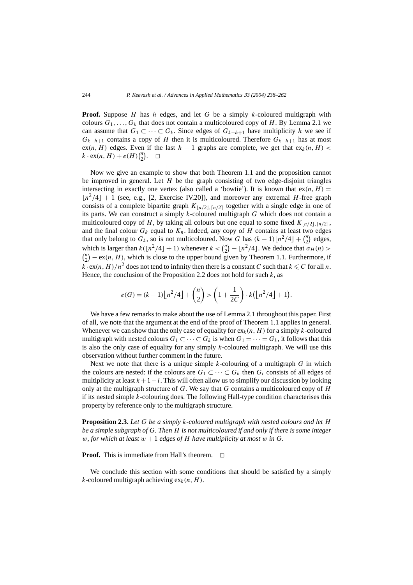**Proof.** Suppose *H* has *h* edges, and let *G* be a simply *k*-coloured multigraph with colours  $G_1, \ldots, G_k$  that does not contain a multicoloured copy of *H*. By Lemma 2.1 we can assume that  $G_1 \subset \cdots \subset G_k$ . Since edges of  $G_{k-h+1}$  have multiplicity *h* we see if  $G_{k-h+1}$  contains a copy of *H* then it is multicoloured. Therefore  $G_{k-h+1}$  has at most ex $(n, H)$  edges. Even if the last  $h - 1$  graphs are complete, we get that ex<sub>k</sub> $(n, H)$  <  $k \cdot \exp(n, H) + e(H) {n \choose 2}. \square$ 

Now we give an example to show that both Theorem 1.1 and the proposition cannot be improved in general. Let  $H$  be the graph consisting of two edge-disjoint triangles intersecting in exactly one vertex (also called a 'bowtie'). It is known that  $ex(n, H)$  =  $\lfloor n^2/4 \rfloor + 1$  (see, e.g., [2, Exercise IV.20]), and moreover any extremal *H*-free graph consists of a complete bipartite graph  $K_{n/2}$ ,  $n/2$  together with a single edge in one of its parts. We can construct a simply *k*-coloured multigraph *G* which does not contain a multicoloured copy of *H*, by taking all colours but one equal to some fixed  $K_{\lfloor n/2 \rfloor, \lceil n/2 \rceil}$ , and the final colour  $G_k$  equal to  $K_n$ . Indeed, any copy of  $H$  contains at least two edges that only belong to  $G_k$ , so is not multicoloured. Now G has  $(k-1)\lfloor n^2/4 \rfloor + \binom{n}{2}$  edges, which is larger than  $k(\lfloor n^2/4 \rfloor + 1)$  whenever  $k < \binom{n}{2} - \lfloor n^2/4 \rfloor$ . We deduce that  $\sigma_H(n) >$  ${n \choose 2} - \text{ex}(n, H)$ , which is close to the upper bound given by Theorem 1.1. Furthermore, if  $k \cdot \text{ex}(n, H)/n^2$  does not tend to infinity then there is a constant *C* such that  $k \le C$  for all *n*. Hence, the conclusion of the Proposition 2.2 does not hold for such  $k$ , as

$$
e(G) = (k-1)\left\lfloor n^2/4 \right\rfloor + {n \choose 2} > \left(1 + \frac{1}{2C}\right) \cdot k\left(\left\lfloor n^2/4 \right\rfloor + 1\right).
$$

We have a few remarks to make about the use of Lemma 2.1 throughout this paper. First of all, we note that the argument at the end of the proof of Theorem 1.1 applies in general. Whenever we can show that the only case of equality for  $ex_k(n, H)$  for a simply *k*-coloured multigraph with nested colours  $G_1 \subset \cdots \subset G_k$  is when  $G_1 = \cdots = G_k$ , it follows that this is also the only case of equality for any simply *k*-coloured multigraph. We will use this observation without further comment in the future.

Next we note that there is a unique simple *k*-colouring of a multigraph *G* in which the colours are nested: if the colours are  $G_1 \subset \cdots \subset G_k$  then  $G_i$  consists of all edges of multiplicity at least  $k+1-i$ . This will often allow us to simplify our discussion by looking only at the multigraph structure of *G*. We say that *G* contains a multicoloured copy of *H* if its nested simple *k*-colouring does. The following Hall-type condition characterises this property by reference only to the multigraph structure.

**Proposition 2.3.** *Let G be a simply k-coloured multigraph with nested colours and let H be a simple subgraph of G. Then H is not multicoloured if and only if there is some integer w*, for which at least  $w + 1$  edges of  $H$  have multiplicity at most  $w$  in  $G$ .

**Proof.** This is immediate from Hall's theorem.  $\Box$ 

We conclude this section with some conditions that should be satisfied by a simply *k*-coloured multigraph achieving  $ex_k(n, H)$ .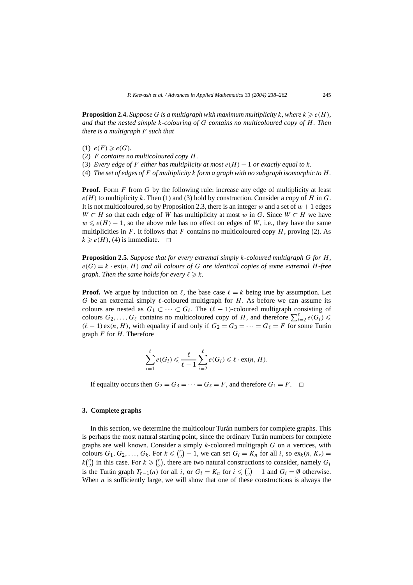**Proposition 2.4.** Suppose G is a multigraph with maximum multiplicity k, where  $k \geqslant e(H)$ , *and that the nested simple k-colouring of G contains no multicoloured copy of H. Then there is a multigraph F such that*

- (1)  $e(F) \geqslant e(G)$ *.*
- (2) *F contains no multicoloured copy H.*
- (3) *Every edge of F either has multiplicity at most*  $e(H) 1$  *or exactly equal to*  $k$ *.*
- (4) *The set of edges of F of multiplicity k form a graph with no subgraph isomorphic to H.*

**Proof.** Form *F* from *G* by the following rule: increase any edge of multiplicity at least  $e(H)$  to multiplicity k. Then (1) and (3) hold by construction. Consider a copy of *H* in *G*. It is not multicoloured, so by Proposition 2.3, there is an integer  $w$  and a set of  $w + 1$  edges *W*  $\subset$  *H* so that each edge of *W* has multiplicity at most *w* in *G*. Since *W*  $\subset$  *H* we have  $w \le e(H) - 1$ , so the above rule has no effect on edges of *W*, i.e., they have the same multiplicities in  $F$ . It follows that  $F$  contains no multicoloured copy  $H$ , proving (2). As  $k \geq e(H)$ , (4) is immediate.  $\Box$ 

**Proposition 2.5.** *Suppose that for every extremal simply k-coloured multigraph G for H,*  $e(G) = k \cdot \text{ex}(n, H)$  *and all colours of G are identical copies of some extremal H-free* graph. Then the same holds for every  $\ell \geq k$ .

**Proof.** We argue by induction on  $\ell$ , the base case  $\ell = k$  being true by assumption. Let *G* be an extremal simply  $\ell$ -coloured multigraph for *H*. As before we can assume its colours are nested as  $G_1 \subset \cdots \subset G_\ell$ . The  $(\ell - 1)$ -coloured multigraph consisting of colours  $G_2, \ldots, G_\ell$  contains no multicoloured copy of *H*, and therefore  $\sum_{i=2}^{\ell} e(G_i)$  $(\ell - 1)$  ex $(n, H)$ , with equality if and only if  $G_2 = G_3 = \cdots = G_\ell = F$  for some Turán graph *F* for *H*. Therefore

$$
\sum_{i=1}^{\ell} e(G_i) \leq \frac{\ell}{\ell-1} \sum_{i=2}^{\ell} e(G_i) \leq \ell \cdot \text{ex}(n, H).
$$

If equality occurs then  $G_2 = G_3 = \cdots = G_\ell = F$ , and therefore  $G_1 = F$ .  $\Box$ 

## **3. Complete graphs**

In this section, we determine the multicolour Turán numbers for complete graphs. This is perhaps the most natural starting point, since the ordinary Turán numbers for complete graphs are well known. Consider a simply *k*-coloured multigraph *G* on *n* vertices, with colours  $G_1, G_2, \ldots, G_k$ . For  $k \leq \binom{r}{2} - 1$ , we can set  $G_i = K_n$  for all *i*, so  $ex_k(n, K_r) =$  $k\binom{n}{2}$  in this case. For  $k \geqslant \binom{r}{2}$ , there are two natural constructions to consider, namely *G<sub>i</sub>* is the Turán graph  $T_{r-1}(n)$  for all *i*, or  $G_i = K_n$  for  $i \leq \binom{r}{2}$  $\binom{r}{2} - 1$  and  $G_i = \emptyset$  otherwise. When  $n$  is sufficiently large, we will show that one of these constructions is always the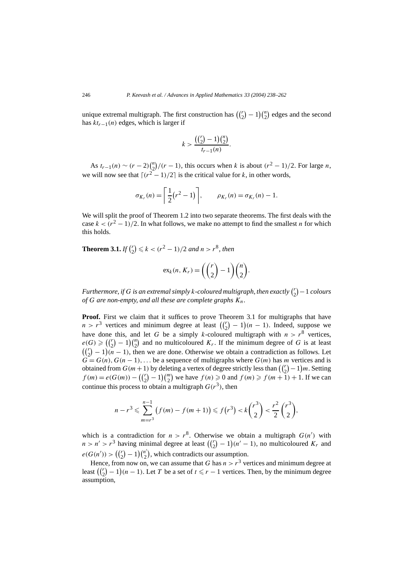unique extremal multigraph. The first construction has  $\left(\binom{r}{2} - 1\right)\binom{n}{2}$  edges and the second has *ktr*<sup>−</sup>1*(n)* edges, which is larger if

$$
k > \frac{((\binom{r}{2} - 1)\binom{n}{2}}{t_{r-1}(n)}.
$$

As  $t_{r-1}(n) \sim (r-2)\binom{n}{2}/(r-1)$ , this occurs when *k* is about  $(r^2-1)/2$ . For large *n*, we will now see that  $\lceil (r^2 - 1)/2 \rceil$  is the critical value for *k*, in other words,

$$
\sigma_{K_r}(n) = \left\lceil \frac{1}{2} (r^2 - 1) \right\rceil, \qquad \rho_{K_r}(n) = \sigma_{K_r}(n) - 1.
$$

We will split the proof of Theorem 1.2 into two separate theorems. The first deals with the case  $k < (r^2 - 1)/2$ . In what follows, we make no attempt to find the smallest *n* for which this holds.

**Theorem 3.1.** *If*  $\binom{r}{2} \leq k < (r^2 - 1)/2$  *and*  $n > r^8$ *, then* 

$$
ex_k(n, K_r) = \left(\binom{r}{2} - 1\right)\binom{n}{2}.
$$

*Furthermore, if*  $G$  *is an extremal simply k-coloured multigraph, then exactly*  $\binom{r}{2} - 1$  *colours of G are non-empty, and all these are complete graphs Kn.*

**Proof.** First we claim that it suffices to prove Theorem 3.1 for multigraphs that have  $n > r<sup>3</sup>$  vertices and minimum degree at least  $\left(\binom{r}{2} - 1\right)(n - 1)$ . Indeed, suppose we have done this, and let *G* be a simply *k*-coloured multigraph with  $n > r^8$  vertices,  $e(G) \geqslant \left(\binom{r}{2}\right)$  $\binom{r}{2} - 1 \binom{n}{2}$  $\binom{n}{2}$  and no multicoloured  $K_r$ . If the minimum degree of *G* is at least  $\binom{r}{2} - 1(n - 1)$ , then we are done. Otherwise we obtain a contradiction as follows. Let  $G = G(n)$ ,  $G(n-1)$ , ... be a sequence of multigraphs where  $G(m)$  has *m* vertices and is obtained from  $G(m+1)$  by deleting a vertex of degree strictly less than  $\binom{r}{2}$  $\binom{r}{2} - 1$  *m*. Setting  $f(m) = e(G(m)) - \binom{r}{2} - 1 \binom{m}{2}$  we have  $f(n) \ge 0$  and  $f(m) \ge f(m + 1) + 1$ . If we can continue this process to obtain a multigraph  $G(r^3)$ , then

$$
n-r^3 \leq \sum_{m=r^3}^{n-1} (f(m) - f(m+1)) \leq f(r^3) < k \binom{r^3}{2} < \frac{r^2}{2} \binom{r^3}{2},
$$

which is a contradiction for  $n > r^8$ . Otherwise we obtain a multigraph  $G(n')$  with  $n > n' > r<sup>3</sup>$  having minimal degree at least  $\left(\binom{r}{2} - 1\right) (n' - 1)$ , no multicoloured  $K_r$  and  $e(G(n')) > ($  $\binom{r}{2}$  $\binom{r}{2} - 1$  $\binom{n'}{2}$  $\binom{n}{2}$ , which contradicts our assumption.

Hence, from now on, we can assume that *G* has  $n > r<sup>3</sup>$  vertices and minimum degree at least  $\left(\binom{r}{2} - 1\right)$   $(n - 1)$ . Let *T* be a set of  $t \leq r - 1$  vertices. Then, by the minimum degree assumption,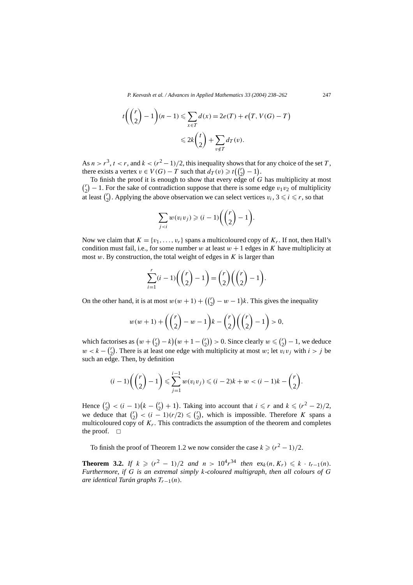$$
t\left(\binom{r}{2} - 1\right)(n-1) \leq \sum_{x \in T} d(x) = 2e(T) + e(T, V(G) - T)
$$
  

$$
\leq 2k\binom{t}{2} + \sum_{v \notin T} d_T(v).
$$

As  $n > r^3$ ,  $t < r$ , and  $k < (r^2 - 1)/2$ , this inequality shows that for any choice of the set *T*, there exists a vertex  $v \in V(G) - T$  such that  $d_T(v) \geq t\binom{r}{2} - 1$ .

To finish the proof it is enough to show that every edge of *G* has multiplicity at most  $r_2$  – 1. For the sake of contradiction suppose that there is some edge  $v_1v_2$  of multiplicity at least  $\binom{r}{2}$ . Applying the above observation we can select vertices  $v_i$ ,  $3 \le i \le r$ , so that

$$
\sum_{j
$$

Now we claim that  $K = \{v_1, \ldots, v_r\}$  spans a multicoloured copy of  $K_r$ . If not, then Hall's condition must fail, i.e., for some number *w* at least  $w + 1$  edges in *K* have multiplicity at most *w*. By construction, the total weight of edges in *K* is larger than

$$
\sum_{i=1}^{r} (i-1) \binom{r}{2} - 1 = \binom{r}{2} \binom{r}{2} - 1.
$$

On the other hand, it is at most  $w(w + 1) + \left(\binom{r}{2} - w - 1\right)k$ . This gives the inequality

$$
w(w+1) + \left( {r \choose 2} - w - 1 \right) k - {r \choose 2} \left( {r \choose 2} - 1 \right) > 0,
$$

which factorises as  $(w + {r \choose 2} - k)(w + 1 - {r \choose 2}) > 0$ . Since clearly  $w \leq {r \choose 2} - 1$ , we deduce  $w < k - {r \choose 2}$ . There is at least one edge with multiplicity at most *w*; let  $v_i v_j$  with  $i > j$  be such an edge. Then, by definition

$$
(i-1)\left(\binom{r}{2}-1\right) \leq \sum_{j=1}^{i-1} w(v_i v_j) \leq (i-2)k + w < (i-1)k - \binom{r}{2}.
$$

Hence  $\binom{r}{2} < (i-1)\left(k - \binom{r}{2} + 1\right)$ . Taking into account that  $i \leq r$  and  $k \leq (r^2 - 2)/2$ , we deduce that  $\binom{r}{2} < (i - 1)(r/2) \leq \binom{r}{2}$ , which is impossible. Therefore *K* spans a multicoloured copy of  $K_r$ . This contradicts the assumption of the theorem and completes the proof.  $\square$ 

To finish the proof of Theorem 1.2 we now consider the case  $k \geq (r^2 - 1)/2$ .

**Theorem 3.2.** *If*  $k \ge (r^2 - 1)/2$  *and*  $n > 10^4 r^{34}$  *then*  $ex_k(n, K_r) \le k \cdot t_{r-1}(n)$ *. Furthermore, if G is an extremal simply k-coloured multigraph, then all colours of G are identical Turán graphs Tr*<sup>−</sup>1*(n).*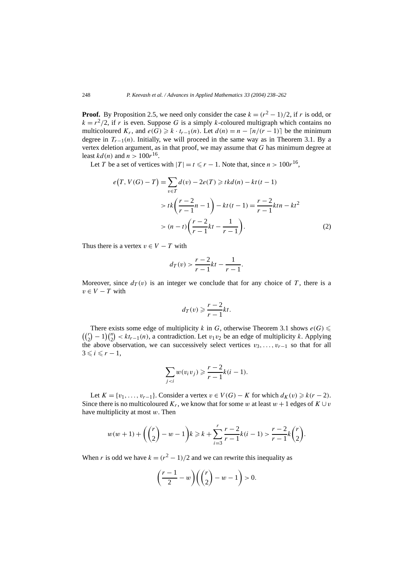**Proof.** By Proposition 2.5, we need only consider the case  $k = (r^2 - 1)/2$ , if *r* is odd, or  $k = r^2/2$ , if *r* is even. Suppose *G* is a simply *k*-coloured multigraph which contains no multicoloured  $K_r$ , and  $e(G) \geq k \cdot t_{r-1}(n)$ . Let  $d(n) = n - \lceil n/(r-1) \rceil$  be the minimum degree in  $T_{r-1}(n)$ . Initially, we will proceed in the same way as in Theorem 3.1. By a vertex deletion argument, as in that proof, we may assume that *G* has minimum degree at least  $kd(n)$  and  $n > 100r^{16}$ .

Let *T* be a set of vertices with  $|T| = t \le r - 1$ . Note that, since  $n > 100r^{16}$ ,

$$
e(T, V(G) - T) = \sum_{v \in T} d(v) - 2e(T) \geq tkd(n) - kt(t - 1)
$$
  
>  $tk \left( \frac{r - 2}{r - 1}n - 1 \right) - kt(t - 1) = \frac{r - 2}{r - 1}ktn - kt^2$   
>  $(n - t) \left( \frac{r - 2}{r - 1}kt - \frac{1}{r - 1} \right).$  (2)

Thus there is a vertex  $v \in V - T$  with

$$
d_T(v) > \frac{r-2}{r-1}kt - \frac{1}{r-1}.
$$

Moreover, since  $d_T(v)$  is an integer we conclude that for any choice of *T*, there is a  $v \in V - T$  with

$$
d_T(v) \geqslant \frac{r-2}{r-1}kt.
$$

 $((\binom{r}{2} - 1) \binom{n}{2}$ There exists some edge of multiplicity *k* in *G*, otherwise Theorem 3.1 shows  $e(G)$  $\binom{n}{2}$  <  $kt_{r-1}(n)$ , a contradiction. Let *v*<sub>1</sub>*v*<sub>2</sub> be an edge of multiplicity *k*. Applying the above observation, we can successively select vertices  $v_3, \ldots, v_{r-1}$  so that for all  $3 \leq i \leq r-1$ ,

$$
\sum_{j
$$

Let  $K = \{v_1, \ldots, v_{r-1}\}$ . Consider a vertex  $v \in V(G) - K$  for which  $d_K(v) \geq k(r-2)$ . Since there is no multicoloured  $K_r$ , we know that for some *w* at least  $w + 1$  edges of  $K \cup v$ have multiplicity at most *w*. Then

$$
w(w+1) + \binom{r}{2} - w - 1 \ge k \ge k + \sum_{i=3}^{r} \frac{r-2}{r-1} k(i-1) > \frac{r-2}{r-1} k\binom{r}{2}.
$$

When *r* is odd we have  $k = (r^2 - 1)/2$  and we can rewrite this inequality as

$$
\left(\frac{r-1}{2} - w\right) \left(\binom{r}{2} - w - 1\right) > 0.
$$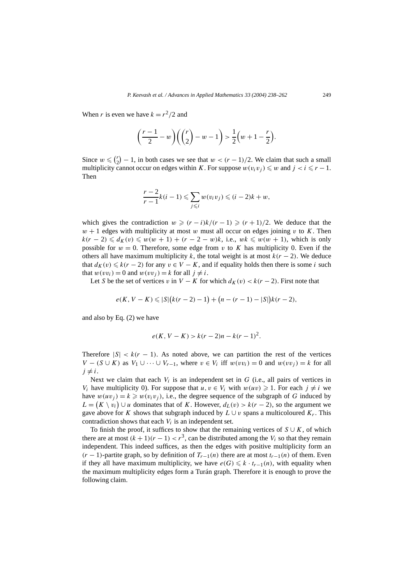When *r* is even we have  $k = r^2/2$  and

$$
\left(\frac{r-1}{2} - w\right) \left( \binom{r}{2} - w - 1 \right) > \frac{1}{2} \left( w + 1 - \frac{r}{2} \right).
$$

Since  $w \leqslant {r \choose 2}$  $\binom{r}{2} - 1$ , in both cases we see that  $w < (r - 1)/2$ . We claim that such a small multiplicity cannot occur on edges within *K*. For suppose  $w(v_i v_j) \leq w$  and  $j < i \leq r - 1$ . Then

$$
\frac{r-2}{r-1}k(i-1)\leqslant \sum_{j\leqslant i}w(v_iv_j)\leqslant (i-2)k+w,
$$

which gives the contradiction  $w \geqslant (r - i)k/(r - 1) \geqslant (r + 1)/2$ . We deduce that the  $w + 1$  edges with multiplicity at most *w* must all occur on edges joining *v* to *K*. Then  $k(r-2) \leq d_K(v) \leq w(w+1) + (r-2-w)k$ , i.e.,  $wk \leq w(w+1)$ , which is only possible for  $w = 0$ . Therefore, some edge from  $v$  to  $K$  has multiplicity 0. Even if the others all have maximum multiplicity *k*, the total weight is at most  $k(r - 2)$ . We deduce that  $d_K(v) \leq k(r-2)$  for any  $v \in V - K$ , and if equality holds then there is some *i* such that  $w(vv_i) = 0$  and  $w(vv_i) = k$  for all  $j \neq i$ .

Let *S* be the set of vertices *v* in *V* − *K* for which  $d_K(v) < k(r - 2)$ . First note that

$$
e(K, V - K) \leq |S| (k(r - 2) - 1) + (n - (r - 1) - |S|) k(r - 2),
$$

and also by Eq. (2) we have

$$
e(K, V - K) > k(r - 2)n - k(r - 1)^2.
$$

Therefore  $|S| \leq k(r-1)$ . As noted above, we can partition the rest of the vertices *V* − (*S* ∪ *K*) as *V*<sub>1</sub> ∪ ··· ∪ *V*<sub>*r*−1</sub>, where  $v \in V_i$  iff  $w(vv_i) = 0$  and  $w(vv_i) = k$  for all  $j \neq i$ .

Next we claim that each  $V_i$  is an independent set in  $G$  (i.e., all pairs of vertices in *V<sub>i</sub>* have multiplicity 0). For suppose that  $u, v \in V_i$  with  $w(uv) \ge 1$ . For each  $j \ne i$  we have  $w(uv_j) = k \geq w(v_iv_j)$ , i.e., the degree sequence of the subgraph of *G* induced by  $L = (K \setminus v_i) \cup u$  dominates that of *K*. However,  $d_L(v) > k(r - 2)$ , so the argument we gave above for *K* shows that subgraph induced by  $L \cup v$  spans a multicoloured  $K_r$ . This contradiction shows that each *Vi* is an independent set.

To finish the proof, it suffices to show that the remaining vertices of  $S \cup K$ , of which there are at most  $(k + 1)(r - 1) < r<sup>3</sup>$ , can be distributed among the *V<sub>i</sub>* so that they remain independent. This indeed suffices, as then the edges with positive multiplicity form an *(r* − 1)-partite graph, so by definition of  $T_{r-1}(n)$  there are at most  $t_{r-1}(n)$  of them. Even if they all have maximum multiplicity, we have  $e(G) \leq k \cdot t_{r-1}(n)$ , with equality when the maximum multiplicity edges form a Turán graph. Therefore it is enough to prove the following claim.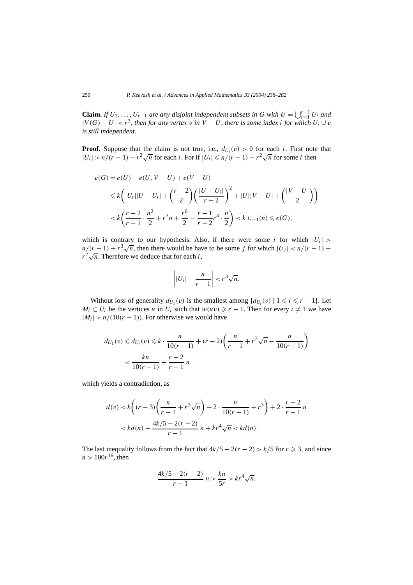**Claim.** *If*  $U_1, \ldots, U_{r-1}$  *are any disjoint independent subsets in G with*  $U = \bigcup_{i=1}^{r-1} U_i$  *and*  $|V(G) - U| < r<sup>3</sup>$ , then for any vertex *v* in  $V - U$ , there is some index *i* for which  $U_i \cup v$ *is still independent.*

**Proof.** Suppose that the claim is not true, i.e.,  $d_{U_i}(v) > 0$  for each *i*. First note that  $|U_i| > n/(r-1) - r^2 \sqrt{n}$  for each *i*. For if  $|U_i| \le n/(r-1) - r^2 \sqrt{n}$  for some *i* then

$$
e(G) = e(U) + e(U, V - U) + e(V - U)
$$
  
\n
$$
\leq k \left( |U_i||U - U_i| + \binom{r-2}{2} \left( \frac{|U - U_i|}{r-2} \right)^2 + |U||V - U| + \binom{|V - U|}{2} \right)
$$
  
\n
$$
< k \left( \frac{r-2}{r-1} \cdot \frac{n^2}{2} + r^3 n + \frac{r^6}{2} - \frac{r-1}{r-2} r^4 \cdot \frac{n}{2} \right) < k \ t_{r-1}(n) \leq e(G),
$$

which is contrary to our hypothesis. Also, if there were some *i* for which  $|U_i|$  >  $n/(r-1) + r^3\sqrt{n}$ , then there would be have to be some *j* for which  $|U_j| < n/(r-1)$  −  $r^2\sqrt{n}$ . Therefore we deduce that for each *i*,

$$
\left| |U_i| - \frac{n}{r-1} \right| < r^3 \sqrt{n}.
$$

Without loss of generality  $d_{U_1}(v)$  is the smallest among  $\{d_{U_i}(v) \mid 1 \leq i \leq r - 1\}$ . Let *M<sub>i</sub>* ⊂ *U<sub>i</sub>* be the vertices *u* in *U<sub>i</sub>* such that  $w(uv) \ge r - 1$ . Then for every  $i \neq 1$  we have  $|M_i| > n/(10(r-1))$ . For otherwise we would have

$$
d_{U_1}(v) \le d_{U_i}(v) \le k \cdot \frac{n}{10(r-1)} + (r-2)\left(\frac{n}{r-1} + r^3\sqrt{n} - \frac{n}{10(r-1)}\right)
$$
  

$$
< \frac{kn}{10(r-1)} + \frac{r-2}{r-1}n
$$

which yields a contradiction, as

$$
d(v) < k\left((r-3)\left(\frac{n}{r-1} + r^3\sqrt{n}\right) + 2 \cdot \frac{n}{10(r-1)} + r^3\right) + 2 \cdot \frac{r-2}{r-1}n
$$
\n
$$
< kd(n) - \frac{4k/5 - 2(r-2)}{r-1}n + kr^4\sqrt{n} < kd(n).
$$

The last inequality follows from the fact that  $4k/5 - 2(r - 2) > k/5$  for  $r \ge 3$ , and since  $n > 100r^{16}$ , then

$$
\frac{4k/5 - 2(r - 2)}{r - 1} n > \frac{kn}{5r} > kr^4 \sqrt{n}.
$$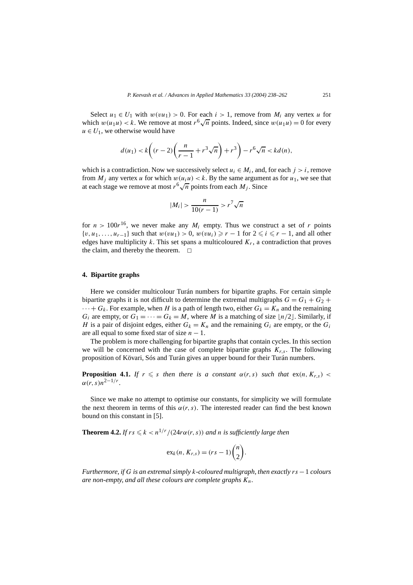Select  $u_1 \in U_1$  with  $w(vu_1) > 0$ . For each  $i > 1$ , remove from  $M_i$  any vertex *u* for which  $w(u_1u) < k$ . We remove at most  $r^6 \sqrt{n}$  points. Indeed, since  $w(u_1u) = 0$  for every  $u \in U_1$ , we otherwise would have

$$
d(u_1) < k\left((r-2)\left(\frac{n}{r-1} + r^3\sqrt{n}\right) + r^3\right) - r^6\sqrt{n} < kd(n),
$$

which is a contradiction. Now we successively select  $u_i \in M_i$ , and, for each  $j > i$ , remove from  $M_i$  any vertex *u* for which  $w(u_i u) < k$ . By the same argument as for  $u_1$ , we see that at each stage we remove at most  $r^6\sqrt{n}$  points from each *M<sub>j</sub>*. Since

$$
|M_i| > \frac{n}{10(r-1)} > r^7 \sqrt{n}
$$

for  $n > 100r^{16}$ , we never make any  $M_i$  empty. Thus we construct a set of *r* points  $\{v, u_1, \ldots, u_{r-1}\}\$  such that  $w(vu_1) > 0$ ,  $w(vu_i) \ge r - 1$  for  $2 \le i \le r - 1$ , and all other edges have multiplicity  $k$ . This set spans a multicoloured  $K_r$ , a contradiction that proves the claim, and thereby the theorem.  $\square$ 

## **4. Bipartite graphs**

Here we consider multicolour Turán numbers for bipartite graphs. For certain simple bipartite graphs it is not difficult to determine the extremal multigraphs  $G = G_1 + G_2 +$  $\cdots + G_k$ . For example, when *H* is a path of length two, either  $G_k = K_n$  and the remaining *G<sub>i</sub>* are empty, or  $G_1 = \cdots = G_k = M$ , where *M* is a matching of size  $\lfloor n/2 \rfloor$ . Similarly, if *H* is a pair of disjoint edges, either  $G_k = K_n$  and the remaining  $G_i$  are empty, or the  $G_i$ are all equal to some fixed star of size  $n - 1$ .

The problem is more challenging for bipartite graphs that contain cycles. In this section we will be concerned with the case of complete bipartite graphs  $K_{r,s}$ . The following proposition of Kövari, Sós and Turán gives an upper bound for their Turán numbers.

**Proposition 4.1.** *If*  $r \leq s$  *then there is a constant*  $\alpha(r, s)$  *such that*  $\text{ex}(n, K_{r,s})$  <  $\alpha(r, s) n^{2 - 1/r}$ .

Since we make no attempt to optimise our constants, for simplicity we will formulate the next theorem in terms of this  $\alpha(r, s)$ . The interested reader can find the best known bound on this constant in [5].

**Theorem 4.2.** *If*  $rs \le k \le n^{1/r}/(24r\alpha(r, s))$  *and n is sufficiently large then* 

$$
\mathrm{ex}_k(n, K_{r,s}) = (rs-1)\binom{n}{2}.
$$

*Furthermore, if G is an extremal simply k-coloured multigraph, then exactly rs* −1 *colours are non-empty, and all these colours are complete graphs Kn.*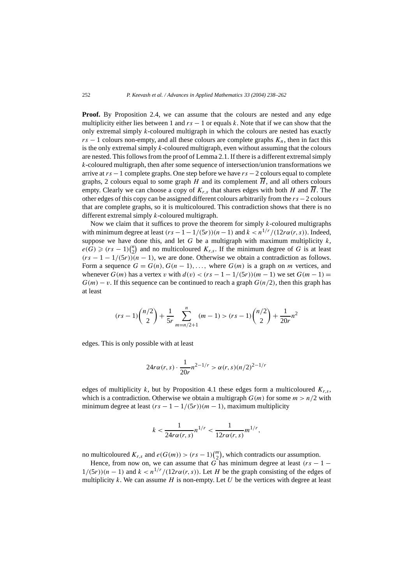**Proof.** By Proposition 2.4, we can assume that the colours are nested and any edge multiplicity either lies between 1 and  $rs - 1$  or equals  $k$ . Note that if we can show that the only extremal simply *k*-coloured multigraph in which the colours are nested has exactly  $rs - 1$  colours non-empty, and all these colours are complete graphs  $K_n$ , then in fact this is the only extremal simply *k*-coloured multigraph, even without assuming that the colours are nested. This follows from the proof of Lemma 2.1. If there is a different extremal simply *k*-coloured multigraph, then after some sequence of intersection/union transformations we arrive at *rs* −1 complete graphs. One step before we have *rs* −2 colours equal to complete graphs, 2 colours equal to some graph *H* and its complement  $\overline{H}$ , and all others colours empty. Clearly we can choose a copy of  $K_{r,s}$  that shares edges with both *H* and  $\overline{H}$ . The other edges of this copy can be assigned different colours arbitrarily from the *rs*−2 colours that are complete graphs, so it is multicoloured. This contradiction shows that there is no different extremal simply *k*-coloured multigraph.

Now we claim that it suffices to prove the theorem for simply *k*-coloured multigraphs with minimum degree at least  $(rs - 1 - 1/(5r))(n - 1)$  and  $k < n^{1/r}/(12r\alpha(r, s))$ . Indeed, suppose we have done this, and let *G* be a multigraph with maximum multiplicity  $k$ ,  $e(G) \ge (rs-1)\binom{n}{2}$  and no multicoloured  $K_{r,s}$ . If the minimum degree of *G* is at least  $(rs - 1 - 1/(5r))(n - 1)$ , we are done. Otherwise we obtain a contradiction as follows. Form a sequence  $G = G(n)$ ,  $G(n-1)$ , ..., where  $G(m)$  is a graph on *m* vertices, and whenever  $G(m)$  has a vertex *v* with  $d(v) < (rs - 1 - 1/(5r))(m - 1)$  we set  $G(m - 1) =$  $G(m) - v$ . If this sequence can be continued to reach a graph  $G(n/2)$ , then this graph has at least

$$
(rs-1)\binom{n/2}{2} + \frac{1}{5r} \sum_{m=n/2+1}^{n} (m-1) > (rs-1)\binom{n/2}{2} + \frac{1}{20r}n^2
$$

edges. This is only possible with at least

$$
24r\alpha(r,s) \cdot \frac{1}{20r} n^{2-1/r} > \alpha(r,s)(n/2)^{2-1/r}
$$

edges of multiplicity *k*, but by Proposition 4.1 these edges form a multicoloured  $K_{r,s}$ , which is a contradiction. Otherwise we obtain a multigraph  $G(m)$  for some  $m > n/2$  with minimum degree at least  $(rs - 1 - 1/(5r))(m - 1)$ , maximum multiplicity

$$
k < \frac{1}{24r\alpha(r,s)} n^{1/r} < \frac{1}{12r\alpha(r,s)} m^{1/r},
$$

no multicoloured  $K_{r,s}$  and  $e(G(m)) > (rs-1)\binom{m}{2}$ , which contradicts our assumption.

Hence, from now on, we can assume that  $G$  has minimum degree at least  $(rs - 1 1/(5r)(n-1)$  and  $k < n^{1/r}/(12r\alpha(r, s))$ . Let *H* be the graph consisting of the edges of multiplicity  $k$ . We can assume  $H$  is non-empty. Let  $U$  be the vertices with degree at least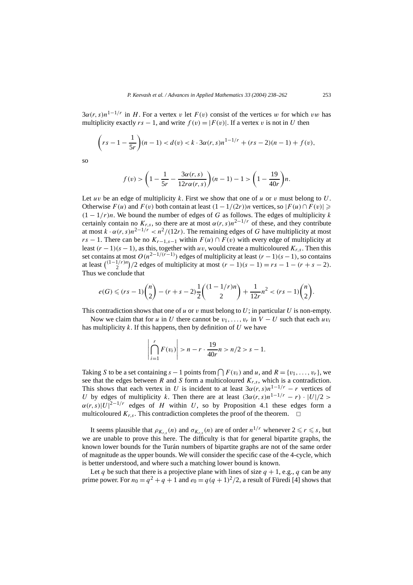$3\alpha(r, s)n^{1-1/r}$  in *H*. For a vertex *v* let  $F(v)$  consist of the vertices *w* for which *vw* has multiplicity exactly  $rs - 1$ , and write  $f(v) = |F(v)|$ . If a vertex v is not in U then

$$
\left(rs - 1 - \frac{1}{5r}\right)(n - 1) < d(v) < k \cdot 3\alpha(r, s)n^{1 - 1/r} + (rs - 2)(n - 1) + f(v),
$$

so

$$
f(v) > \left(1 - \frac{1}{5r} - \frac{3\alpha(r,s)}{12r\alpha(r,s)}\right)(n-1) - 1 > \left(1 - \frac{19}{40r}\right)n.
$$

Let *uv* be an edge of multiplicity *k*. First we show that one of *u* or *v* must belong to *U*. Otherwise  $F(u)$  and  $F(v)$  both contain at least  $(1 - 1/(2r))n$  vertices, so  $|F(u) \cap F(v)| \geq$  $(1 - 1/r)n$ . We bound the number of edges of *G* as follows. The edges of multiplicity *k* certainly contain no  $K_{r,s}$ , so there are at most  $\alpha(r, s)n^{2-1/r}$  of these, and they contribute at most  $k \cdot \alpha(r, s) n^{2-1/r} < n^2/(12r)$ . The remaining edges of *G* have multiplicity at most *rs* − 1. There can be no  $K_{r-1,s-1}$  within  $F(u) \cap F(v)$  with every edge of multiplicity at least  $(r-1)(s-1)$ , as this, together with *uv*, would create a multicoloured  $K_{r,s}$ . Then this set contains at most  $O(n^{2-1/(r-1)})$  edges of multiplicity at least  $(r-1)(s-1)$ , so contains at least  $\binom{(1-1/r)n}{2}$  */*2 edges of multiplicity at most  $(r - 1)(s - 1) = rs - 1 - (r + s - 2)$ . Thus we conclude that

$$
e(G) \le (rs-1)\binom{n}{2} - (r+s-2)\frac{1}{2}\binom{(1-1/r)n}{2} + \frac{1}{12r}n^2 < (rs-1)\binom{n}{2}.
$$

This contradiction shows that one of  $u$  or  $v$  must belong to  $U$ ; in particular  $U$  is non-empty.

Now we claim that for *u* in *U* there cannot be  $v_1, \ldots, v_r$  in  $V - U$  such that each  $uv_i$ has multiplicity *k*. If this happens, then by definition of *U* we have

$$
\left| \bigcap_{i=1}^{r} F(v_i) \right| > n - r \cdot \frac{19}{40r} n > n/2 > s - 1.
$$

Taking *S* to be a set containing  $s - 1$  points from  $\bigcap F(v_i)$  and *u*, and  $R = \{v_1, \ldots, v_r\}$ , we see that the edges between *R* and *S* form a multicoloured  $K_{r,s}$ , which is a contradiction. This shows that each vertex in *U* is incident to at least  $3\alpha(r, s)n^{1-1/r} - r$  vertices of *U* by edges of multiplicity *k*. Then there are at least  $(3\alpha(r, s)n^{1-1/r} - r) \cdot |U|/2$  $\alpha(r, s)|U|^{2-1/r}$  edges of *H* within *U*, so by Proposition 4.1 these edges form a multicoloured  $K_r$ <sub>s</sub>. This contradiction completes the proof of the theorem.  $\Box$ 

It seems plausible that  $\rho_{K_{r,s}}(n)$  and  $\sigma_{K_{r,s}}(n)$  are of order  $n^{1/r}$  whenever  $2 \le r \le s$ , but we are unable to prove this here. The difficulty is that for general bipartite graphs, the known lower bounds for the Turán numbers of bipartite graphs are not of the same order of magnitude as the upper bounds. We will consider the specific case of the 4-cycle, which is better understood, and where such a matching lower bound is known.

Let *q* be such that there is a projective plane with lines of size  $q + 1$ , e.g., *q* can be any prime power. For  $n_0 = q^2 + q + 1$  and  $e_0 = q(q + 1)^2/2$ , a result of Füredi [4] shows that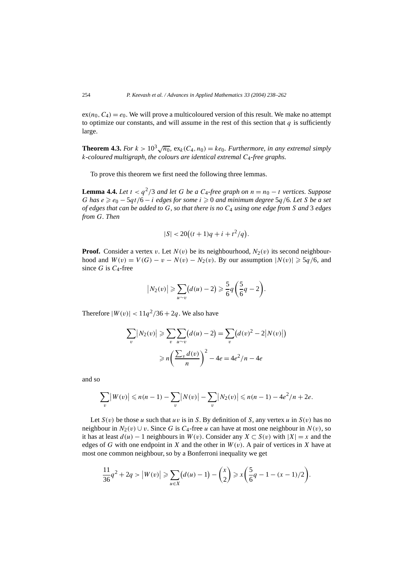$ex(n_0, C_4) = e_0$ . We will prove a multicoloured version of this result. We make no attempt to optimize our constants, and will assume in the rest of this section that  $q$  is sufficiently large.

**Theorem 4.3.** *For*  $k > 10^3 \sqrt{n_0}$ ,  $ex_k(C_4, n_0) = ke_0$ . *Furthermore, in any extremal simply k-coloured multigraph, the colours are identical extremal C*4*-free graphs.*

To prove this theorem we first need the following three lemmas.

**Lemma 4.4.** *Let*  $t < q^2/3$  *and let G be a*  $C_4$ *-free graph on*  $n = n_0 - t$  *vertices. Suppose G* has  $e \ge e_0 - 5qt/6 - i$  *edges for some*  $i \ge 0$  *and minimum degree*  $5q/6$ *. Let S be a set of edges that can be added to G, so that there is no C*<sup>4</sup> *using one edge from S and* 3 *edges from G. Then*

$$
|S| < 20\big((t+1)q + i + t^2/q\big).
$$

**Proof.** Consider a vertex *v*. Let  $N(v)$  be its neighbourhood,  $N_2(v)$  its second neighbourhood and  $W(v) = V(G) - v - N(v) - N_2(v)$ . By our assumption  $|N(v)| \geq 5q/6$ , and since *G* is *C*4-free

$$
|N_2(v)| \geqslant \sum_{u \sim v} (d(u)-2) \geqslant \frac{5}{6}q\left(\frac{5}{6}q-2\right).
$$

Therefore  $|W(v)| < 11q^2/36 + 2q$ . We also have

$$
\sum_{v} |N_2(v)| \ge \sum_{v} \sum_{u \sim v} (d(u) - 2) = \sum_{v} (d(v)^2 - 2|N(v)|)
$$

$$
\ge n \left(\frac{\sum_{v} d(v)}{n}\right)^2 - 4e = 4e^2/n - 4e
$$

and so

$$
\sum_{v} |W(v)| \le n(n-1) - \sum_{v} |N(v)| - \sum_{v} |N_2(v)| \le n(n-1) - 4e^2/n + 2e.
$$

Let  $S(v)$  be those *u* such that *uv* is in *S*. By definition of *S*, any vertex *u* in  $S(v)$  has no neighbour in  $N_2(v) \cup v$ . Since G is  $C_4$ -free *u* can have at most one neighbour in  $N(v)$ , so it has at least  $d(u)$  − 1 neighbours in  $W(v)$ . Consider any  $X \subset S(v)$  with  $|X| = x$  and the edges of *G* with one endpoint in *X* and the other in  $W(v)$ . A pair of vertices in *X* have at most one common neighbour, so by a Bonferroni inequality we get

$$
\frac{11}{36}q^2 + 2q > |W(v)| \ge \sum_{u \in X} (d(u) - 1) - {x \choose 2} \ge x \left(\frac{5}{6}q - 1 - (x - 1)/2\right).
$$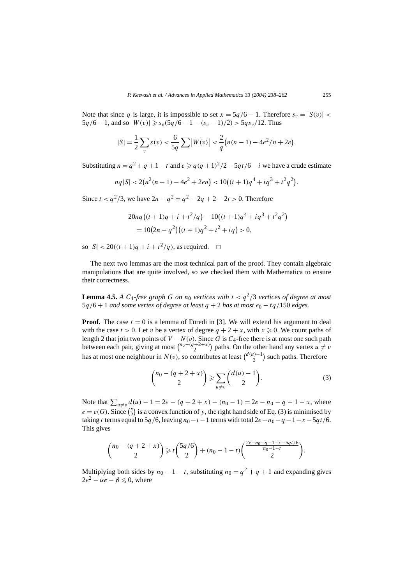Note that since *q* is large, it is impossible to set  $x = 5q/6 - 1$ . Therefore  $s_v = |S(v)|$  $5q/6 - 1$ , and so  $|W(v)| \ge s_v(5q/6 - 1 - (s_v - 1)/2) > 5qs_v/12$ . Thus

$$
|S| = \frac{1}{2} \sum_{v} s(v) < \frac{6}{5q} \sum |W(v)| < \frac{2}{q} \left( n(n-1) - 4e^2/n + 2e \right).
$$

Substituting  $n = q^2 + q + 1 - t$  and  $e \geqslant q(q+1)^2/2 - 5qt/6 - i$  we have a crude estimate

$$
nq|S| < 2(n^2(n-1) - 4e^2 + 2en) < 10\left((t+1)q^4 + iq^3 + t^2q^2\right).
$$

Since  $t < q^2/3$ , we have  $2n - q^2 = q^2 + 2q + 2 - 2t > 0$ . Therefore

$$
20nq((t+1)q+i+t^2/q) - 10((t+1)q^4 + iq^3 + t^2q^2)
$$
  
= 
$$
10(2n - q^2)((t+1)q^2 + t^2 + iq) > 0,
$$

so  $|S| < 20((t + 1)q + i + t^2/q)$ , as required.  $\Box$ 

The next two lemmas are the most technical part of the proof. They contain algebraic manipulations that are quite involved, so we checked them with Mathematica to ensure their correctness.

**Lemma 4.5.** *A C*<sub>4</sub>*-free graph G on*  $n_0$  *vertices with*  $t < q^2/3$  *vertices of degree at most*  $5q/6 + 1$  *and some vertex of degree at least*  $q + 2$  *has at most*  $e_0 - tq/150$  *edges.* 

**Proof.** The case  $t = 0$  is a lemma of Füredi in [3]. We will extend his argument to deal with the case  $t > 0$ . Let *v* be a vertex of degree  $q + 2 + x$ , with  $x \ge 0$ . We count paths of length 2 that join two points of  $V - N(v)$ . Since G is  $C_4$ -free there is at most one such path between each pair, giving at most  $\binom{n_0-(q+2+x)}{2}$  paths. On the other hand any vertex  $u \neq v$ has at most one neighbour in  $N(v)$ , so contributes at least  $\binom{d(u)-1}{2}$  such paths. Therefore

$$
\binom{n_0 - (q+2+x)}{2} \geqslant \sum_{u \neq v} \binom{d(u)-1}{2}.
$$
 (3)

Note that  $\sum_{u \neq v} d(u) - 1 = 2e - (q + 2 + x) - (n_0 - 1) = 2e - n_0 - q - 1 - x$ , where  $e = e(G)$ . Since  $\binom{y}{2}$  is a convex function of *y*, the right hand side of Eq. (3) is minimised by taking *t* terms equal to 5*q*/6, leaving  $n_0 - t - 1$  terms with total 2*e*−*n*<sub>0</sub>−*q*−1−*x*−5*qt*/6. This gives

$$
\binom{n_0-(q+2+x)}{2} \geq t\binom{5q/6}{2}+(n_0-1-t)\binom{\frac{2e-n_0-q-1-x-5qt/6}{n_0-1-t}}{2}.
$$

Multiplying both sides by  $n_0 - 1 - t$ , substituting  $n_0 = q^2 + q + 1$  and expanding gives  $2e^2 - \alpha e - \beta \leq 0$ , where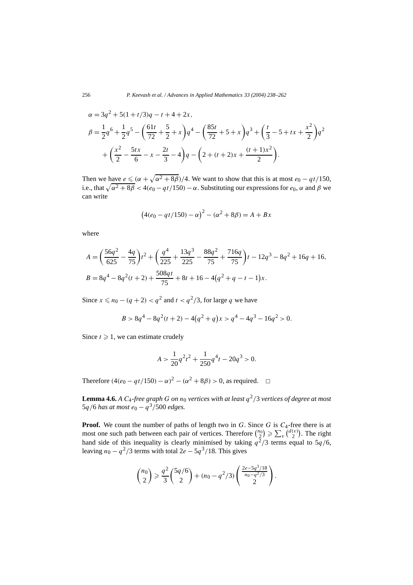$$
\alpha = 3q^2 + 5(1+t/3)q - t + 4 + 2x,
$$
  
\n
$$
\beta = \frac{1}{2}q^6 + \frac{1}{2}q^5 - \left(\frac{61t}{72} + \frac{5}{2} + x\right)q^4 - \left(\frac{85t}{72} + 5 + x\right)q^3 + \left(\frac{t}{3} - 5 + tx + \frac{x^2}{2}\right)q^2
$$
  
\n
$$
+ \left(\frac{x^2}{2} - \frac{5tx}{6} - x - \frac{2t}{3} - 4\right)q - \left(2 + (t+2)x + \frac{(t+1)x^2}{2}\right).
$$

Then we have  $e \le (\alpha + \sqrt{\alpha^2 + 8\beta})/4$ . We want to show that this is at most  $e_0 - qt/150$ , i.e., that  $\sqrt{\alpha^2 + 8\beta} < 4(e_0 - qt/150) - \alpha$ . Substituting our expressions for  $e_0$ ,  $\alpha$  and  $\beta$  we can write

$$
(4(e0 - qt/150) - \alpha)2 - (\alpha2 + 8\beta) = A + Bx
$$

where

$$
A = \left(\frac{56q^2}{625} - \frac{4q}{75}\right)t^2 + \left(\frac{q^4}{225} + \frac{13q^3}{225} - \frac{88q^2}{75} + \frac{716q}{75}\right)t - 12q^3 - 8q^2 + 16q + 16,
$$
  
\n
$$
B = 8q^4 - 8q^2(t+2) + \frac{508qt}{75} + 8t + 16 - 4(q^2 + q - t - 1)x.
$$

Since *x* ≤ *n*<sub>0</sub> − (*q* + 2) < *q*<sup>2</sup> and *t* < *q*<sup>2</sup>/3, for large *q* we have

$$
B > 8q4 - 8q2(t + 2) - 4(q2 + q)x > q4 - 4q3 - 16q2 > 0.
$$

Since  $t \geq 1$ , we can estimate crudely

$$
A > \frac{1}{20}q^2t^2 + \frac{1}{250}q^4t - 20q^3 > 0.
$$

Therefore  $(4(e_0 - qt/150) - \alpha)^2 - (\alpha^2 + 8\beta) > 0$ , as required.  $\square$ 

**Lemma 4.6.** *A C*<sub>4</sub>*-free graph G on n*<sub>0</sub> *vertices with at least*  $q^2/3$  *vertices of degree at most*  $5q/6$  *has at most*  $e_0 - q^3/500$  *edges.* 

**Proof.** We count the number of paths of length two in *G*. Since *G* is  $C_4$ -free there is at most one such path between each pair of vertices. Therefore  $\binom{n_0}{2} \geq \sum_v \binom{d(v)}{2}$ . The right hand side of this inequality is clearly minimised by taking  $q^2/3$  terms equal to  $5q/6$ , leaving  $n_0 - q^2/3$  terms with total  $2e - 5q^3/18$ . This gives

$$
\binom{n_0}{2} \geqslant \frac{q^2}{3} \binom{5q/6}{2} + (n_0 - q^2/3) \binom{\frac{2e-5q^3/18}{n_0 - q^2/3}}{2}.
$$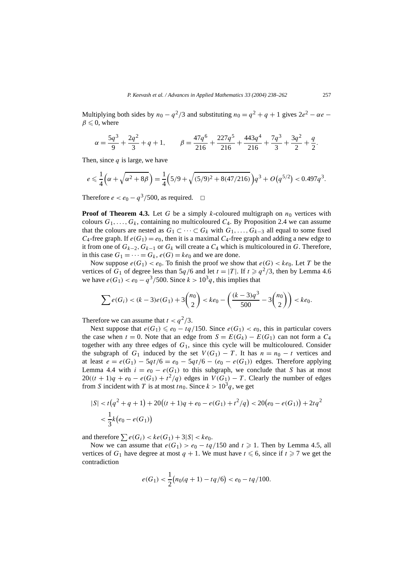Multiplying both sides by  $n_0 - q^2/3$  and substituting  $n_0 = q^2 + q + 1$  gives  $2e^2 - \alpha e$  $\beta \leq 0$ , where

$$
\alpha = \frac{5q^3}{9} + \frac{2q^2}{3} + q + 1, \qquad \beta = \frac{47q^6}{216} + \frac{227q^5}{216} + \frac{443q^4}{216} + \frac{7q^3}{3} + \frac{3q^2}{2} + \frac{q}{2}.
$$

Then, since *q* is large, we have

$$
e \leq \frac{1}{4} \left( \alpha + \sqrt{\alpha^2 + 8\beta} \right) = \frac{1}{4} \left( 5/9 + \sqrt{(5/9)^2 + 8(47/216)} \right) q^3 + O(q^{5/2}) < 0.497q^3.
$$

Therefore  $e < e_0 - q^3/500$ , as required.  $\Box$ 

**Proof of Theorem 4.3.** Let *G* be a simply *k*-coloured multigraph on  $n_0$  vertices with colours  $G_1, \ldots, G_k$ , containing no multicoloured  $C_4$ . By Proposition 2.4 we can assume that the colours are nested as  $G_1 \subset \cdots \subset G_k$  with  $G_1, \ldots, G_{k-3}$  all equal to some fixed *C*<sub>4</sub>-free graph. If  $e(G_1) = e_0$ , then it is a maximal *C*<sub>4</sub>-free graph and adding a new edge to it from one of  $G_{k-2}$ ,  $G_{k-1}$  or  $G_k$  will create a  $C_4$  which is multicoloured in  $G$ . Therefore, in this case  $G_1 = \cdots = G_k$ ,  $e(G) = ke_0$  and we are done.

Now suppose  $e(G_1) < e_0$ . To finish the proof we show that  $e(G) < ke_0$ . Let *T* be the vertices of  $G_1$  of degree less than  $5q/6$  and let  $t = |T|$ . If  $t \geq q^2/3$ , then by Lemma 4.6 we have  $e(G_1) < e_0 - q^3/500$ . Since  $k > 10^3 q$ , this implies that

$$
\sum e(G_i) < (k-3)e(G_1) + 3\binom{n_0}{2} < ke_0 - \left(\frac{(k-3)q^3}{500} - 3\binom{n_0}{2}\right) < ke_0.
$$

Therefore we can assume that  $t < q^2/3$ .

Next suppose that  $e(G_1) \leq e_0 - tq/150$ . Since  $e(G_1) < e_0$ , this in particular covers the case when  $t = 0$ . Note that an edge from  $S = E(G_k) - E(G_1)$  can not form a  $C_4$ together with any three edges of *G*1, since this cycle will be multicoloured. Consider the subgraph of  $G_1$  induced by the set  $V(G_1) - T$ . It has  $n = n_0 - t$  vertices and at least  $e = e(G_1) - 5qt/6 = e_0 - 5qt/6 - (e_0 - e(G_1))$  edges. Therefore applying Lemma 4.4 with  $i = e_0 - e(G_1)$  to this subgraph, we conclude that *S* has at most  $20((t + 1)q + e_0 - e(G_1) + t^2/q)$  edges in  $V(G_1) - T$ . Clearly the number of edges from *S* incident with *T* is at most  $tn_0$ . Since  $k > 10^3 q$ , we get

$$
|S| < t\left(q^2 + q + 1\right) + 20\left((t+1)q + e_0 - e(G_1) + t^2/q\right) < 20\left(e_0 - e(G_1)\right) + 2tq^2
$$
\n
$$
< \frac{1}{3}k\left(e_0 - e(G_1)\right)
$$

and therefore  $\sum e(G_i) < ke(G_1) + 3|S| < ke_0$ .

Now we can assume that  $e(G_1) > e_0 - tq/150$  and  $t \ge 1$ . Then by Lemma 4.5, all vertices of  $G_1$  have degree at most  $q + 1$ . We must have  $t \le 6$ , since if  $t \ge 7$  we get the contradiction

$$
e(G_1) < \frac{1}{2}(n_0(q+1) - tq/6) < e_0 - tq/100.
$$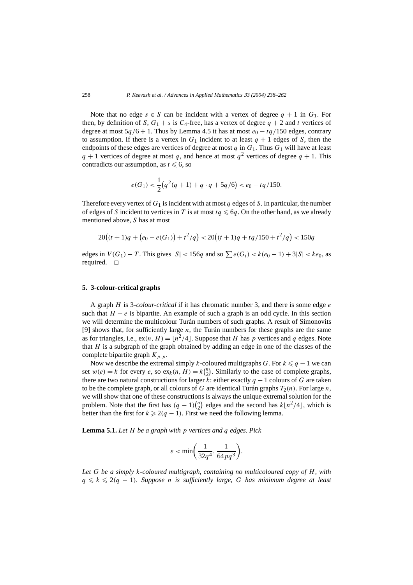Note that no edge  $s \in S$  can be incident with a vertex of degree  $q + 1$  in  $G_1$ . For then, by definition of *S*,  $G_1 + s$  is  $C_4$ -free, has a vertex of degree  $q + 2$  and *t* vertices of degree at most  $5q/6 + 1$ . Thus by Lemma 4.5 it has at most  $e_0 - tq/150$  edges, contrary to assumption. If there is a vertex in  $G_1$  incident to at least  $q + 1$  edges of *S*, then the endpoints of these edges are vertices of degree at most  $q$  in  $G_1$ . Thus  $G_1$  will have at least  $q + 1$  vertices of degree at most *q*, and hence at most  $q<sup>2</sup>$  vertices of degree  $q + 1$ . This contradicts our assumption, as  $t \leq 6$ , so

$$
e(G_1) < \frac{1}{2}(q^2(q+1) + q \cdot q + 5q/6) < e_0 - tq/150.
$$

Therefore every vertex of  $G_1$  is incident with at most  $q$  edges of  $S$ . In particular, the number of edges of *S* incident to vertices in *T* is at most  $tq \leq 6q$ . On the other hand, as we already mentioned above, *S* has at most

$$
20((t+1)q + (e_0 - e(G_1)) + t^2/q) < 20((t+1)q + tq/150 + t^2/q) < 150q
$$

edges in *V*(*G*<sub>1</sub>) − *T*. This gives  $|S|$  < 156*q* and so  $\sum e(G_i)$  <  $k(e_0 - 1) + 3|S|$  <  $ke_0$ , as required.  $\square$ 

#### **5. 3-colour-critical graphs**

A graph *H* is 3*-colour-critical* if it has chromatic number 3, and there is some edge *e* such that  $H - e$  is bipartite. An example of such a graph is an odd cycle. In this section we will determine the multicolour Turán numbers of such graphs. A result of Simonovits [9] shows that, for sufficiently large *n*, the Turán numbers for these graphs are the same as for triangles, i.e.,  $ex(n, H) = \lfloor n^2/4 \rfloor$ . Suppose that *H* has *p* vertices and *q* edges. Note that *H* is a subgraph of the graph obtained by adding an edge in one of the classes of the complete bipartite graph  $K_{p,p}$ .

Now we describe the extremal simply *k*-coloured multigraphs *G*. For  $k \leq q - 1$  we can set  $w(e) = k$  for every *e*, so  $ex_k(n, H) = k{n \choose 2}$ . Similarly to the case of complete graphs, there are two natural constructions for larger *k*: either exactly *q* − 1 colours of *G* are taken to be the complete graph, or all colours of *G* are identical Turán graphs  $T_2(n)$ . For large *n*, we will show that one of these constructions is always the unique extremal solution for the problem. Note that the first has  $(q - 1) \binom{n}{2}$  edges and the second has  $k \lfloor n^2/4 \rfloor$ , which is better than the first for  $k \geqslant 2(q-1)$ . First we need the following lemma.

**Lemma 5.1.** *Let H be a graph with p vertices and q edges. Pick*

$$
\varepsilon<\min\biggl(\frac{1}{32q^4},\frac{1}{64pq^3}\biggr).
$$

*Let G be a simply k-coloured multigraph, containing no multicoloured copy of H, with*  $q \leq k \leq 2(q-1)$ *. Suppose n is sufficiently large, G has minimum degree at least*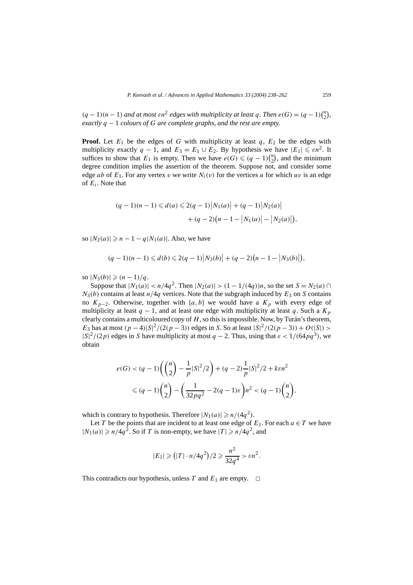$(q-1)(n-1)$  *and at most*  $\epsilon n^2$  *edges with multiplicity at least*  $q$ *. Then*  $e(G) = (q-1)\binom{n}{2}$ , *exactly q* − 1 *colours of G are complete graphs, and the rest are empty.*

**Proof.** Let  $E_1$  be the edges of *G* with multiplicity at least *q*,  $E_2$  be the edges with multiplicity exactly  $q - 1$ , and  $E_3 = E_1 \cup E_2$ . By hypothesis we have  $|E_1| \le \varepsilon n^2$ . It suffices to show that  $E_1$  is empty. Then we have  $e(G) \leq (q-1)\binom{n}{2}$ , and the minimum degree condition implies the assertion of the theorem. Suppose not, and consider some edge *ab* of  $E_1$ . For any vertex *v* we write  $N_i(v)$  for the vertices *u* for which *uv* is an edge of *Ei*. Note that

$$
(q-1)(n-1) \leq d(a) \leq 2(q-1)|N_1(a)| + (q-1)|N_2(a)|
$$
  
+ 
$$
(q-2)(n-1-|N_1(a)|-|N_2(a)|),
$$

so  $|N_2(a)| \ge n - 1 - q|N_1(a)|$ . Also, we have

$$
(q-1)(n-1) \leq d(b) \leq 2(q-1)|N_3(b)| + (q-2)(n-1-|N_3(b)|),
$$

 $|N_3(b)| \geq (n-1)/q$ .

Suppose that  $|N_1(a)| < n/4q^2$ . Then  $|N_2(a)| > (1 - 1/(4q))n$ , so the set  $S = N_2(a)$   $\cap$  $N_3(b)$  contains at least  $n/4q$  vertices. Note that the subgraph induced by  $E_3$  on *S* contains no  $K_{p-2}$ . Otherwise, together with  $\{a, b\}$  we would have a  $K_p$  with every edge of multiplicity at least  $q - 1$ , and at least one edge with multiplicity at least q. Such a  $K_p$ clearly contains a multicoloured copy of *H*, so this is impossible. Now, by Turán's theorem, *E*<sub>3</sub> has at most  $(p - 4)|S|^2/(2(p - 3))$  edges in *S*. So at least  $|S|^2/(2(p - 3)) + O(|S|)$  >  $|S|^2/(2p)$  edges in *S* have multiplicity at most *q* − 2. Thus, using that  $\varepsilon$  < 1/(64*pq*<sup>3</sup>), we obtain

$$
e(G) < (q-1)\left(\binom{n}{2} - \frac{1}{p}|S|^2/2\right) + (q-2)\frac{1}{p}|S|^2/2 + k\epsilon n^2
$$
  
\$\leq (q-1)\binom{n}{2} - \left(\frac{1}{32pq^2} - 2(q-1)\epsilon\right)n^2 < (q-1)\binom{n}{2}\$,

which is contrary to hypothesis. Therefore  $|N_1(a)| \ge n/(4q^2)$ .

Let *T* be the points that are incident to at least one edge of  $E_1$ . For each  $a \in T$  we have  $|N_1(a)| \ge n/4q^2$ . So if *T* is non-empty, we have  $|T| \ge n/4q^2$ , and

$$
|E_1| \geq (|T| \cdot n/4q^2)/2 \geq \frac{n^2}{32q^4} > \varepsilon n^2.
$$

This contradicts our hypothesis, unless *T* and  $E_1$  are empty.  $\Box$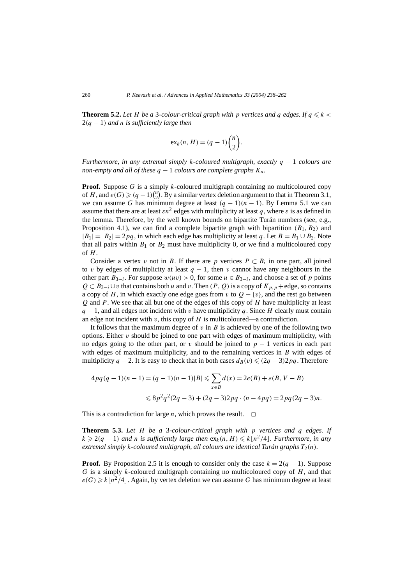**Theorem 5.2.** Let *H* be a 3-colour-critical graph with p vertices and q edges. If  $q \leq k$ 2*(q* − 1*) and n is sufficiently large then*

$$
ex_k(n, H) = (q - 1) \binom{n}{2}.
$$

*Furthermore, in any extremal simply k-coloured multigraph, exactly q* − 1 *colours are non-empty and all of these*  $q - 1$  *colours are complete graphs*  $K_n$ *.* 

**Proof.** Suppose *G* is a simply *k*-coloured multigraph containing no multicoloured copy of *H*, and  $e(G) \geqslant (q-1)\binom{n}{2}$ . By a similar vertex deletion argument to that in Theorem 3.1, we can assume *G* has minimum degree at least  $(q - 1)(n - 1)$ . By Lemma 5.1 we can assume that there are at least  $\epsilon n^2$  edges with multiplicity at least *q*, where  $\epsilon$  is as defined in the lemma. Therefore, by the well known bounds on bipartite Turán numbers (see, e.g., Proposition 4.1), we can find a complete bipartite graph with bipartition  $(B_1, B_2)$  and  $|B_1| = |B_2| = 2pq$ , in which each edge has multiplicity at least *q*. Let  $B = B_1 \cup B_2$ . Note that all pairs within  $B_1$  or  $B_2$  must have multiplicity 0, or we find a multicoloured copy of *H*.

Consider a vertex *v* not in *B*. If there are *p* vertices  $P \subset B_i$  in one part, all joined to *v* by edges of multiplicity at least  $q - 1$ , then *v* cannot have any neighbours in the other part  $B_{3-i}$ . For suppose  $w(uv) > 0$ , for some  $u \in B_{3-i}$ , and choose a set of p points  $Q \subset B_{3-i} \cup v$  that contains both *u* and *v*. Then  $(P, Q)$  is a copy of  $K_{p,p}$  + edge, so contains a copy of *H*, in which exactly one edge goes from *v* to  $Q - \{v\}$ , and the rest go between *Q* and *P*. We see that all but one of the edges of this copy of *H* have multiplicity at least *q* − 1, and all edges not incident with *v* have multiplicity *q*. Since *H* clearly must contain an edge not incident with  $v$ , this copy of  $H$  is multicoloured—a contradiction.

It follows that the maximum degree of  $v$  in  $B$  is achieved by one of the following two options. Either *v* should be joined to one part with edges of maximum multiplicity, with no edges going to the other part, or *v* should be joined to  $p - 1$  vertices in each part with edges of maximum multiplicity, and to the remaining vertices in *B* with edges of multiplicity *q* − 2. It is easy to check that in both cases  $d_B(v) \leq (2q - 3)2pq$ . Therefore

$$
4pq(q-1)(n-1) = (q-1)(n-1)|B| \le \sum_{x \in B} d(x) = 2e(B) + e(B, V - B)
$$
  

$$
\le 8p^2q^2(2q-3) + (2q-3)2pq \cdot (n-4pq) = 2pq(2q-3)n.
$$

This is a contradiction for large *n*, which proves the result.  $\Box$ 

**Theorem 5.3.** *Let H be a* 3*-colour-critical graph with p vertices and q edges. If*  $k$  ≥ 2(q − 1) and *n* is sufficiently large then  $ex_k(n, H)$  ≤  $k\lfloor n^2/4 \rfloor$ . Furthermore, in any *extremal simply k-coloured multigraph, all colours are identical Turán graphs*  $T_2(n)$ *.* 

**Proof.** By Proposition 2.5 it is enough to consider only the case  $k = 2(q - 1)$ . Suppose *G* is a simply *k*-coloured multigraph containing no multicoloured copy of *H*, and that  $e(G) \ge k\lfloor n^2/4 \rfloor$ . Again, by vertex deletion we can assume *G* has minimum degree at least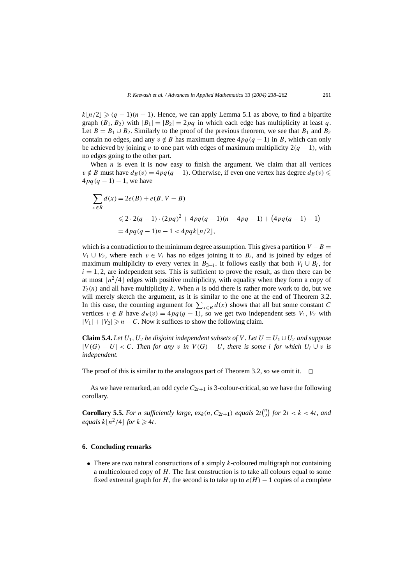$k\lfloor n/2 \rfloor \geqslant (q-1)(n-1)$ . Hence, we can apply Lemma 5.1 as above, to find a bipartite graph  $(B_1, B_2)$  with  $|B_1| = |B_2| = 2pq$  in which each edge has multiplicity at least *q*. Let  $B = B_1 \cup B_2$ . Similarly to the proof of the previous theorem, we see that  $B_1$  and  $B_2$ contain no edges, and any  $v \notin B$  has maximum degree  $4pq(q - 1)$  in *B*, which can only be achieved by joining *v* to one part with edges of maximum multiplicity  $2(q - 1)$ , with no edges going to the other part.

When  $n$  is even it is now easy to finish the argument. We claim that all vertices *v*∉ *B* must have  $d_B(v) = 4pq(q - 1)$ . Otherwise, if even one vertex has degree  $d_B(v)$  $4pq(q-1) - 1$ , we have

$$
\sum_{x \in B} d(x) = 2e(B) + e(B, V - B)
$$
  
\n
$$
\leq 2 \cdot 2(q - 1) \cdot (2pq)^2 + 4pq(q - 1)(n - 4pq - 1) + (4pq(q - 1) - 1)
$$
  
\n
$$
= 4pq(q - 1)n - 1 < 4pqk\lfloor n/2 \rfloor,
$$

which is a contradiction to the minimum degree assumption. This gives a partition  $V - B =$  $V_1 \cup V_2$ , where each  $v \in V_i$  has no edges joining it to  $B_i$ , and is joined by edges of maximum multiplicity to every vertex in  $B_{3-i}$ . It follows easily that both  $V_i \cup B_i$ , for  $i = 1, 2$ , are independent sets. This is sufficient to prove the result, as then there can be at most  $|n^2/4|$  edges with positive multiplicity, with equality when they form a copy of *T*2*(n)* and all have multiplicity *k*. When *n* is odd there is rather more work to do, but we will merely sketch the argument, as it is similar to the one at the end of Theorem 3.2. In this case, the counting argument for  $\sum_{x \in B} d(x)$  shows that all but some constant *C* vertices  $v \notin B$  have  $d_B(v) = 4pq(q - 1)$ , so we get two independent sets  $V_1, V_2$  with  $|V_1| + |V_2| \ge n - C$ . Now it suffices to show the following claim.

**Claim 5.4.** *Let*  $U_1$ ,  $U_2$  *be disjoint independent subsets of V . Let*  $U = U_1 \cup U_2$  *and suppose*  $|V(G) - U| < C$ *. Then for any v in*  $V(G) - U$ *, there is some i for which*  $U_i \cup v$  *is independent.*

The proof of this is similar to the analogous part of Theorem 3.2, so we omit it.  $\Box$ 

As we have remarked, an odd cycle  $C_{2t+1}$  is 3-colour-critical, so we have the following corollary.

**Corollary 5.5.** For *n* sufficiently large,  $ex_k(n, C_{2t+1})$  equals  $2t\binom{n}{2}$  for  $2t < k < 4t$ , and *equals*  $k\lfloor n^2/4 \rfloor$  *for*  $k \ge 4t$ *.* 

## **6. Concluding remarks**

• There are two natural constructions of a simply *k*-coloured multigraph not containing a multicoloured copy of *H*. The first construction is to take all colours equal to some fixed extremal graph for *H*, the second is to take up to  $e(H) - 1$  copies of a complete